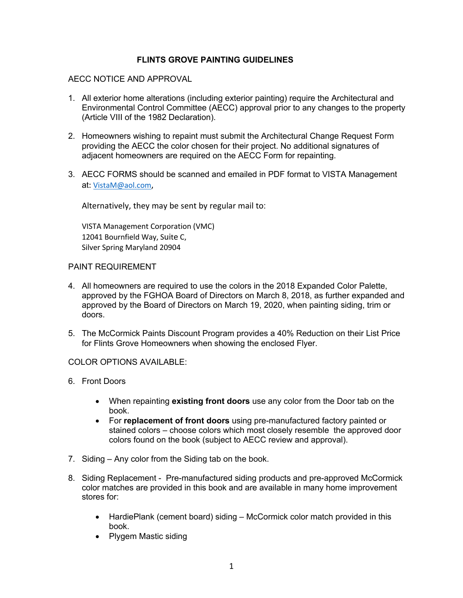## **FLINTS GROVE PAINTING GUIDELINES**

## AECC NOTICE AND APPROVAL

- 1. All exterior home alterations (including exterior painting) require the Architectural and Environmental Control Committee (AECC) approval prior to any changes to the property (Article VIII of the 1982 Declaration).
- 2. Homeowners wishing to repaint must submit the Architectural Change Request Form providing the AECC the color chosen for their project. No additional signatures of adjacent homeowners are required on the AECC Form for repainting.
- 3. AECC FORMS should be scanned and emailed in PDF format to VISTA Management at: VistaM@aol.com,

Alternatively, they may be sent by regular mail to:

VISTA Management Corporation (VMC) 12041 Bournfield Way, Suite C, Silver Spring Maryland 20904

## PAINT REQUIREMENT

- 4. All homeowners are required to use the colors in the 2018 Expanded Color Palette, approved by the FGHOA Board of Directors on March 8, 2018, as further expanded and approved by the Board of Directors on March 19, 2020, when painting siding, trim or doors.
- 5. The McCormick Paints Discount Program provides a 40% Reduction on their List Price for Flints Grove Homeowners when showing the enclosed Flyer.

## COLOR OPTIONS AVAILABLE:

- 6. Front Doors
	- When repainting **existing front doors** use any color from the Door tab on the book.
	- For **replacement of front doors** using pre-manufactured factory painted or stained colors – choose colors which most closely resemble the approved door colors found on the book (subject to AECC review and approval).
- 7. Siding Any color from the Siding tab on the book.
- 8. Siding Replacement Pre-manufactured siding products and pre-approved McCormick color matches are provided in this book and are available in many home improvement stores for:
	- HardiePlank (cement board) siding McCormick color match provided in this book.
	- Plygem Mastic siding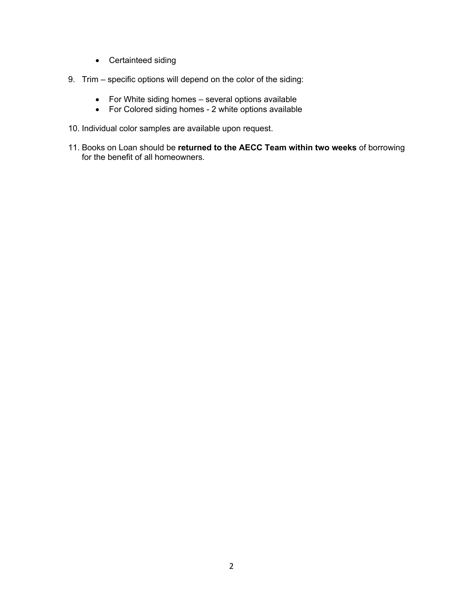- Certainteed siding
- 9. Trim specific options will depend on the color of the siding:
	- For White siding homes several options available
	- For Colored siding homes 2 white options available
- 10. Individual color samples are available upon request.
- 11. Books on Loan should be **returned to the AECC Team within two weeks** of borrowing for the benefit of all homeowners.